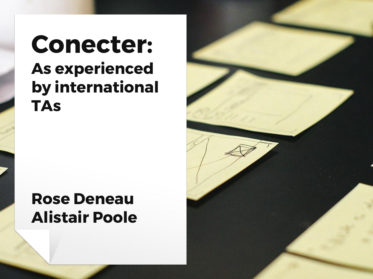# **Conecter: As experienced by international TAs**

### **Rose Deneau Alistair Poole**

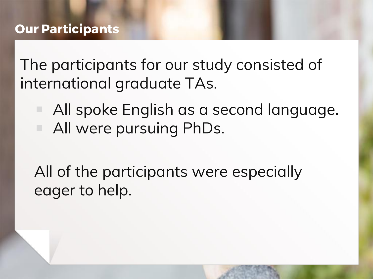The participants for our study consisted of international graduate TAs.

- All spoke English as a second language.
- All were pursuing PhDs.

All of the participants were especially eager to help.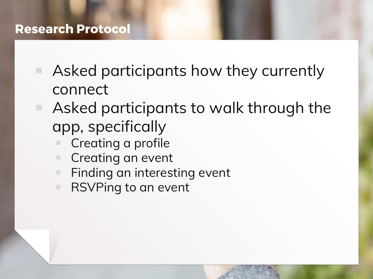#### **Research Protocol**

- Asked participants how they currently connect
- Asked participants to walk through the app, specifically
	- Creating a profile
	- Creating an event
	- Finding an interesting event
	- RSVPing to an event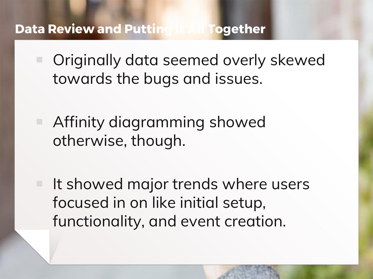#### **Data Review and Putting It All Together**

- Originally data seemed overly skewed towards the bugs and issues.
- Affinity diagramming showed otherwise, though.
- It showed major trends where users focused in on like initial setup, functionality, and event creation.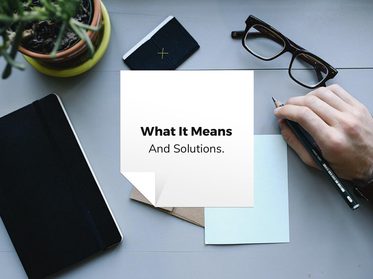#### **What It Means**

And Solutions.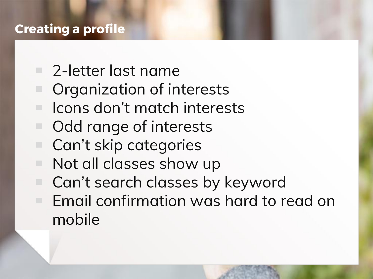#### **Creating a profile**

- 2-letter last name
	- Organization of interests
	- Icons don't match interests
- Odd range of interests
- Can't skip categories
- Not all classes show up
- Can't search classes by keyword ■ Email confirmation was hard to read on mobile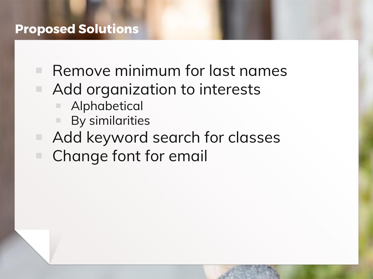#### **Proposed Solutions**

■ Remove minimum for last names ■ Add organization to interests ■ Alphabetical ■ By similarities ■ Add keyword search for classes Change font for email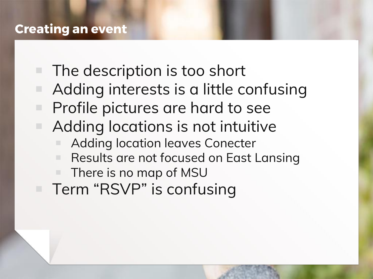#### **Creating an event**

■ The description is too short Adding interests is a little confusing Profile pictures are hard to see ■ Adding locations is not intuitive Adding location leaves Conecter ■ Results are not focused on East Lansing ■ There is no map of MSU ■ Term "RSVP" is confusing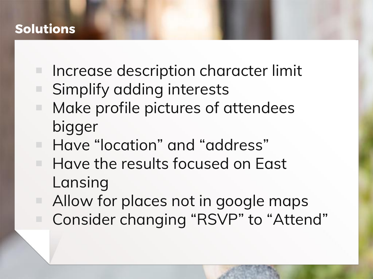#### **Solutions**

- Increase description character limit
- Simplify adding interests
- Make profile pictures of attendees bigger
- Have "location" and "address"
- Have the results focused on East Lansing
- Allow for places not in google maps ■ Consider changing "RSVP" to "Attend"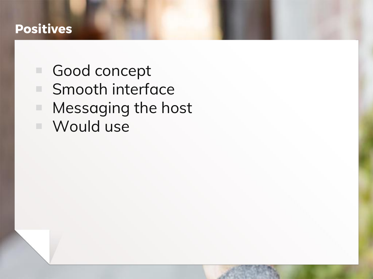#### **Positives**

■ Good concept ■ Smooth interface ■ Messaging the host ■ Would use